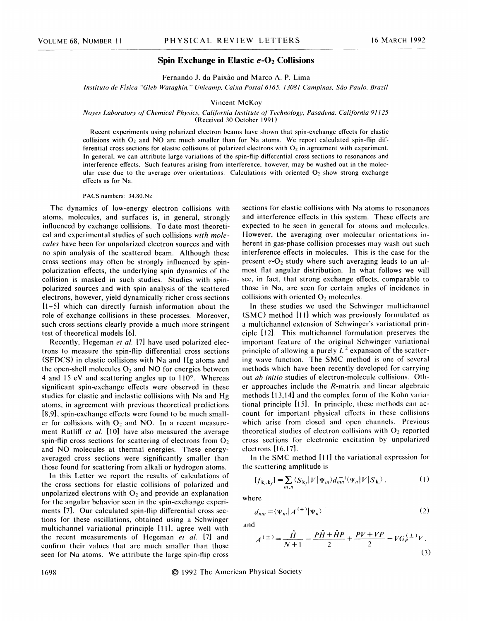## Spin Exchange in Elastic  $e$ -O<sub>2</sub> Collisions

Fernando J. da Paixão and Marco A. P. Lima

I Crinanuo 5, ua i aixao anu wiarco A. 1 . Enna<br>Instituto de Física "Gleb Wataghin," Unicamp, Caixa Postal 6165, 13081 Campinas, São Paulo, Brazi.

## Vincent McKoy

## Noyes Laboratory of Chemical Physics, California Institute of Technology, Pasadena, California 91125 (Received 30 October 1991)

Recent experiments using polarized electron beams have shown that spin-exchange effects for elastic collisions with  $O_2$  and NO are much smaller than for Na atoms. We report calculated spin-flip differential cross sections for elastic collisions of polarized electrons with  $O<sub>2</sub>$  in agreement with experiment. In general, we can attribute large variations of the spin-flip differential cross sections to resonances and interference effects. Such features arising from interference, however, may be washed out in the molecular case due to the average over orientations. Calculations with oriented  $O<sub>2</sub>$  show strong exchange effects as for Na.

PACS numbers: 34.80.Nz

The dynamics of low-energy electron collisions with atoms, molecules, and surfaces is, in general, strongly influenced by exchange collisions. To date most theoretical and experimental studies of such collisions with molecules have been for unpolarized electron sources and with no spin analysis of the scattered beam. Although these cross sections may often be strongly influenced by spinpolarization effects, the underlying spin dynamics of the collision is masked in such studies. Studies with spinpolarized sources and with spin analysis of the scattered electrons, however, yield dynamically richer cross sections [1-5] which can directly furnish information about the role of exchange collisions in these processes. Moreover, such cross sections clearly provide a much more stringent test of theoretical models [6].

Recently, Hegeman et al. [7] have used polarized electrons to measure the spin-flip differential cross sections (SFDCS) in elastic collisions with Na and Hg atoms and the open-shell molecules  $O_2$  and NO for energies between 4 and <sup>15</sup> eV and scattering angles up to 110'. Whereas significant spin-exchange effects were observed in these studies for elastic and inelastic collisions with Na and Hg atoms, in agreement with previous theoretical predictions [8,9], spin-exchange effects were found to be much smaller for collisions with  $O_2$  and NO. In a recent measurement Ratliff et al. [10] have also measured the average spin-flip cross sections for scattering of electrons from  $O_2$ and NO molecules at thermal energies. These energyaveraged cross sections were significantly smaller than those found for scattering from alkali or hydrogen atoms.

In this Letter we report the results of calculations of the cross sections for elastic collisions of polarized and unpolarized electrons with  $O_2$  and provide an explanation for the angular behavior seen in the spin-exchange experiments [7]. Our calculated spin-flip differential cross sections for these oscillations, obtained using a Schwinger multichannel variational principle [11], agree well with the recent measurements of Hegeman et al. [7] and confirm their values that are much smaller than those seen for Na atoms. We attribute the large spin-flip cross

sections for elastic collisions with Na atoms to resonances and interference effects in this system. These effects are expected to be seen in general for atoms and molecules. However, the averaging over molecular orientations inherent in gas-phase collision processes may wash out such interference effects in molecules. This is the case for the present  $e-O_2$  study where such averaging leads to an almost flat angular distribution. In what follows we will see, in fact, that strong exchange effects, comparable to those in Na, are seen for certain angles of incidence in collisions with oriented  $O<sub>2</sub>$  molecules.

In these studies we used the Schwinger multichannel (SMC) method [11] which was previously formulated as a multichannel extension of Schwinger's variational principle [12]. This multichannel formulation preserves the important feature of the original Schwinger variationa1 principle of allowing a purely  $L^2$  expansion of the scatter ing wave function. The SMC method is one of several methods which have been recently developed for carrying out ab initio studies of electron-molecule collisions. Other approaches include the R-matrix and linear algebraic methods [13,14] and the complex form of the Kohn variational principle [15]. In principle, these methods can account for important physical effects in these collisions which arise from closed and open channels. Previous theoretical studies of electron collisions with  $O_2$  reported cross sections for electronic excitation by unpolarized electrons [16,17].

In the SMC method [11] the variational expression for the scattering amplitude is

$$
[f_{\mathbf{k}_i,\mathbf{k}_f}] = \sum_{m,n} \langle S_{\mathbf{k}_f} | V | \Psi_m \rangle d_{mn}^{-1} \langle \Psi_n | V | S_{\mathbf{k}_i} \rangle, \qquad (1)
$$

where

$$
d_{mn} = \langle \Psi_m | A^{(+)} | \Psi_n \rangle \tag{2}
$$

and

$$
A^{(\pm)} = \frac{\hat{H}}{N+1} - \frac{P\hat{H} + \hat{H}P}{2} + \frac{PV + VP}{2} - VG_P^{(\pm)}V.
$$
\n(3)

1698 1992 The American Physical Society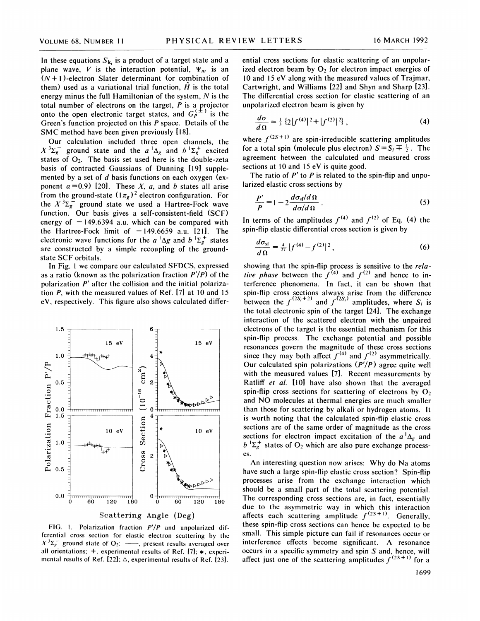In these equations  $S_{\mathbf{k}_i}$  is a product of a target state and a plane wave, V is the interaction potential,  $\Psi_m$  is an  $(N + 1)$ -electron Slater determinant (or combination of them) used as a variational trial function,  $\hat{H}$  is the total energy minus the full Hamiltonian of the system,  $N$  is the total number of electrons on the target,  $P$  is a projector onto the open electronic target states, and  $G_P^{(\pm)}$  is the Green's function projected on this P space. Details of the SMC method have been given previously [18].

Our calculation included three open channels, the  $X^{3}\Sigma_{g}^{-}$  ground state and the  $a^{1}\Delta_{g}$  and  $b^{1}\Sigma_{g}^{+}$  excited states of  $O_2$ . The basis set used here is the double-zeta basis of contracted Gaussians of Dunning [19] supplemented by a set of d basis functions on each oxygen (exponent  $\alpha = 0.9$  [20]. These X, a, and b states all arise from the ground-state  $(1\pi_g)^2$  electron configuration. For the  $X^{3}\Sigma_{g}^{-}$  ground state we used a Hartree-Fock wave function. Our basis gives a self-consistent-field (SCF) energy of  $-149.6394$  a.u. which can be compared with the Hartree-Fock limit of  $-149.6659$  a.u. [21]. The electronic wave functions for the  $a^{\dagger} \Delta g$  and  $b^{\dagger} \Sigma_g^+$  states are constructed by a simple recoupling of the groundstate SCF orbitals.

In Fig. <sup>1</sup> we compare our calculated SFDCS, expressed as a ratio (known as the polarization fraction  $P'/P$ ) of the polarization  $P'$  after the collision and the initial polarization P, with the measured values of Ref. [7] at 10 and 15 eV, respectively. This figure also shows calculated differ-



FIG. 1. Polarization fraction  $P'/P$  and unpolarized differential cross section for elastic electron scattering by the  $X^{3}\Sigma_{g}^{-}$  ground state of O<sub>2</sub>: -, present results averaged over all orientations;  $+$ , experimental results of Ref. [7];  $*$ , experimental results of Ref. [22];  $\Delta$ , experimental results of Ref. [23].

ential cross sections for elastic scattering of an unpolarized electron beam by  $O_2$  for electron impact energies of 10 and 15 eV along with the measured values of Trajmar, Cartwright, and Williams [22] and Shyn and Sharp [23]. The differential cross section for elastic scattering of an unpolarized electron beam is given by

$$
\frac{d\sigma}{d\Omega} = \frac{1}{3} \left\{ 2|f^{(4)}|^2 + |f^{(2)}|^2 \right\},\tag{4}
$$

where  $f^{(2S+1)}$  are spin-irreducible scattering amplitudes for a total spin (molecule plus electron)  $S = S_i \overline{+} \frac{1}{2}$ . The agreement between the calculated and measured cross sections at 10 and 15 eV is quite good.

The ratio of  $P'$  to  $P$  is related to the spin-flip and unpolarized elastic cross sections by

$$
\frac{P'}{P} = 1 - 2 \frac{d\sigma_{\rm sf}/d\,\Omega}{d\sigma/d\,\Omega} \,. \tag{5}
$$

In terms of the amplitudes  $f^{(4)}$  and  $f^{(2)}$  of Eq. (4) the spin-flip elastic differential cross section is given by

$$
\frac{d\sigma_{\rm sf}}{d\,\Omega} = \frac{4}{27} \left| f^{(4)} - f^{(2)} \right|^2, \tag{6}
$$

showing that the spin-flip process is sensitive to the *rela-*<br>tive phase between the  $f^{(4)}$  and  $f^{(2)}$  and hence to interference phenomena. In fact, it can be shown that spin-flip cross sections always arise from the difference<br>between the  $f^{(2S_i+2)}$  and  $f^{(2S_i)}$  amplitudes, where  $S_i$ sections always arise from the unterlence<br>  $^{(2S_i+2)}$  and  $f^{(2S_i)}$  amplitudes, where  $S_i$  is the total electronic spin of the target [24]. The exchange interaction of the scattered electron with the unpaired electrons of the target is the essential mechanism for this spin-flip process. The exchange potential and possible resonances govern the magnitude of these cross sections since they may both affect  $f^{(4)}$  and  $f^{(2)}$  asymmetrically. Our calculated spin polarizations  $(P'/P)$  agree quite well with the measured values [7]. Recent measurements by Ratliff *et al.* [10] have also shown that the averaged spin-flip cross sections for scattering of electrons by  $O<sub>2</sub>$ and NO molecules at thermal energies are much smaller than those for scattering by alkali or hydrogen atoms. It is worth noting that the calculated spin-flip elastic cross sections are of the same order of magnitude as the cross sections for electron impact excitation of the  $a^1\Delta_g$  and  $b^{\dagger}\Sigma_{g}^{+}$  states of  $O_2$  which are also pure exchange processes.

An interesting question now arises: Why do Na atoms have such a large spin-flip elastic cross section? Spin-flip processes arise from the exchange interaction which should be a small part of the total scattering potential. The corresponding cross sections are, in fact, essentially due to the asymmetric way in which this interaction affects each scattering amplitude  $f^{(2s+1)}$ . Generally, these spin-flip cross sections can hence be expected to be small. This simple picture can fail if resonances occur or interference effects become significant. A resonance occurs in a specific symmetry and spin S and, hence, will becurs in a specific symmetry and spin 3 and, nence, which affect just one of the scattering amplitudes  $f^{(2S+1)}$  for a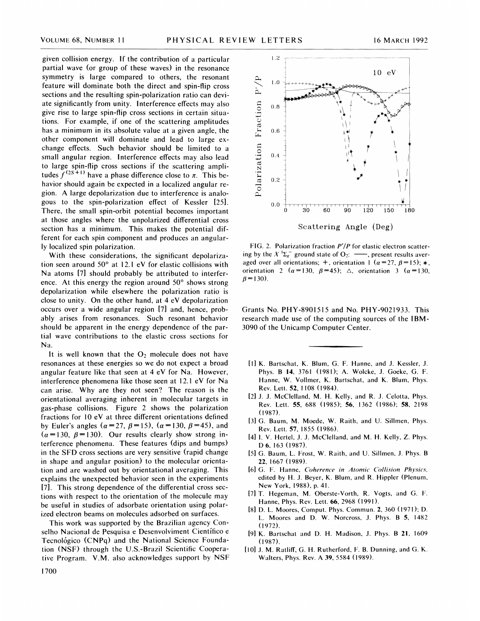given collision energy. If the contribution of a particular partial wave (or group of these waves) in the resonance symmetry is large compared to others, the resonant feature will dominate both the direct and spin-flip cross sections and the resulting spin-polarization ratio can deviate significantly from unity. Interference effects may also give rise to large spin-flip cross sections in certain situations. For example, if one of the scattering amplitudes has a minimum in its absolute value at a given angle, the other component will dominate and lead to large exchange effects. Such behavior should be limited to a small angular region. Interference effects may also lead to large spin-flip cross sections if the scattering amplito large spin-flip cross sections if the scattering ampli-<br>tudes  $f^{(2S+1)}$  have a phase difference close to  $\pi$ . This behavior should again be expected in a localized angular region. A large depolarization due to interference is analogous to the spin-polarization effect of Kessler [25]. There, the small spin-orbit potential becomes important at those angles where the unpolarized differential cross section has a minimum. This makes the potential different for each spin component and produces an angularly localized spin polarization.

With these considerations, the significant depolarization seen around  $50^{\circ}$  at 12.1 eV for elastic collisions with Na atoms [7] should probably be attributed to interference. At this energy the region around 50' shows strong depolarization while elsewhere the polarization ratio is close to unity. On the other hand, at 4 eV depolarization occurs over a wide angular region [7] and, hence, probably arises from resonances. Such resonant behavior should be apparent in the energy dependence of the partial wave contributions to the elastic cross sections for Na.

It is well known that the  $O_2$  molecule does not have resonances at these energies so we do not expect a broad angular feature like that seen at 4 eV for Na. However, interference phenomena like those seen at 12. <sup>1</sup> eV for Na can arise. Why are they not seen? The reason is the orientational averaging inherent in molecular targets in gas-phase collisions. Figure 2 shows the polarization fractions for  $10 \text{ eV}$  at three different orientations defined by Euler's angles  $(\alpha=27, \beta=15)$ ,  $(\alpha=130, \beta=45)$ , and  $(\alpha=130, \beta=130)$ . Our results clearly show strong interference phenomena. These features (dips and bumps) in the SFD cross sections are very sensitive (rapid change in shape and angular position) to the molecular orientation and are washed out by orientational averaging. This explains the unexpected behavior seen in the experiments [7]. This strong dependence of the differential cross sections with respect to the orientation of the molecule may be useful in studies of adsorbate orientation using polarized electron beams on molecules adsorbed on surfaces.

This work was supported by the Brazilian agency Conselho Nacional de Pesquisa e Desenvolviment Cientifico e Tecnológico (CNPq) and the National Science Foundation (NSF) through the U.S.-Brazil Scientific Cooperative Program. V.M. also acknowledges support by NSF



FIG. 2. Polarization fraction  $P'/P$  for elastic electron scattering by the  $X^3\Sigma_g^-$  ground state of  $O_2$ :  $\longrightarrow$ , present results averaged over all orientations;  $+$ , orientation 1 ( $\alpha = 27$ ,  $\beta = 15$ ); \*, orientation 2 ( $\alpha = 130$ ,  $\beta = 45$ );  $\Delta$ , orientation 3 ( $\alpha = 130$ ,  $\beta = 130$ .

Grants No. PHY-8901515 and No. PHY-9021933. This research made use of the computing sources of the IBM-3090 of the Unicamp Computer Center.

- [I] K. Bartschat, K. Blum, G. F. Hunne, and J. Kessler, J. Phys. B l4, 3761 (1981); A. Wolcke, J. Goeke, G. F. Hanne, W. Vollmer, K. Bartschat, and K. Blum, Phys. Rev. Lett. 52, 1108 (1984).
- [2] J. J. McClelland, M. H. Kelly, and R, J. Celotta, Phys. Rev, Lett. 55, 688 (1985); 56, 1362 (1986); 5\$, 2198 (1987).
- [3] G. Baum, M. Moede, W. Raith, and U. Sillmen, Phys. Rev. Lett. 57, 1855 (1986).
- [4] I. V. Hertel, J. J. McClelland, and M. H. Kelly, Z. Phys. D 6, 163 (1987).
- [5] G. Baum, L. Frost, W. Raith, and U. Sillmen, J. Phys. B 22, 1667 (1989).
- [6] G. F. Hanne, Coherence in Atomic Collision Physics, edited by H. J. Beyer, K. Blum, and R. Hippler (Plenum, New York, 1988), p. 41.
- [7] T. Hegeman, M. Oberste-Vorth, R. Vogts, and G. F. Hanne, Phys. Rev. Lett. 66, 2968 (1991).
- [8] D. L. Moores, Comput. Phys. Commun. 2, 360 (1971); D. L. Moores and D. W. Norcross, J. Phys. B 5, 1482 (]972).
- [9l K. Bartschat and D. H. Madison, J. Phys. B 21, 1609 (1987).
- [10] J. M. Ratliff, G. H. Rutherford, F. B. Dunning, and G. K. Walters, Phys. Rev. A 39, 5584 (1989).